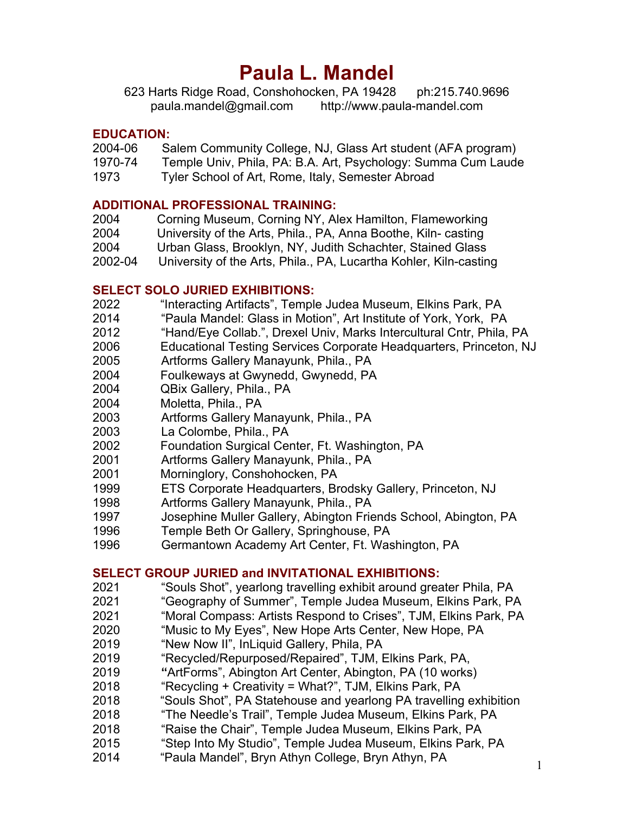# **Paula L. Mandel**

623 Harts Ridge Road, Conshohocken, PA 19428 ph:215.740.9696 paula.mandel@gmail.com http://www.paula-mandel.com

#### **EDUCATION:**

- 2004-06 Salem Community College, NJ, Glass Art student (AFA program)
- 1970-74 Temple Univ, Phila, PA: B.A. Art, Psychology: Summa Cum Laude
- 1973 Tyler School of Art, Rome, Italy, Semester Abroad

#### **ADDITIONAL PROFESSIONAL TRAINING:**

- 2004 Corning Museum, Corning NY, Alex Hamilton, Flameworking
- 2004 University of the Arts, Phila., PA, Anna Boothe, Kiln- casting
- 2004 Urban Glass, Brooklyn, NY, Judith Schachter, Stained Glass
- 2002-04 University of the Arts, Phila., PA, Lucartha Kohler, Kiln-casting

## **SELECT SOLO JURIED EXHIBITIONS:**

- 2022 "Interacting Artifacts", Temple Judea Museum, Elkins Park, PA
- 2014 "Paula Mandel: Glass in Motion", Art Institute of York, York, PA
- 2012 "Hand/Eye Collab.", Drexel Univ, Marks Intercultural Cntr, Phila, PA
- 2006 Educational Testing Services Corporate Headquarters, Princeton, NJ
- 2005 Artforms Gallery Manayunk, Phila., PA
- 2004 Foulkeways at Gwynedd, Gwynedd, PA
- 2004 QBix Gallery, Phila., PA
- 2004 Moletta, Phila., PA
- 2003 Artforms Gallery Manayunk, Phila., PA
- 2003 La Colombe, Phila., PA
- 2002 Foundation Surgical Center, Ft. Washington, PA
- 2001 Artforms Gallery Manayunk, Phila., PA
- 2001 Morninglory, Conshohocken, PA
- 1999 ETS Corporate Headquarters, Brodsky Gallery, Princeton, NJ
- 1998 Artforms Gallery Manayunk, Phila., PA
- 1997 Josephine Muller Gallery, Abington Friends School, Abington, PA
- 1996 Temple Beth Or Gallery, Springhouse, PA
- 1996 Germantown Academy Art Center, Ft. Washington, PA

## **SELECT GROUP JURIED and INVITATIONAL EXHIBITIONS:**

- 2021 "Souls Shot", yearlong travelling exhibit around greater Phila, PA
- 2021 "Geography of Summer", Temple Judea Museum, Elkins Park, PA
- 2021 "Moral Compass: Artists Respond to Crises", TJM, Elkins Park, PA
- 2020 "Music to My Eyes", New Hope Arts Center, New Hope, PA
- 2019 "New Now II", InLiquid Gallery, Phila, PA
- 2019 "Recycled/Repurposed/Repaired", TJM, Elkins Park, PA,
- 2019 **"**ArtForms", Abington Art Center, Abington, PA (10 works)
- 2018 "Recycling + Creativity = What?", TJM, Elkins Park, PA
- 2018 "Souls Shot", PA Statehouse and yearlong PA travelling exhibition
- 2018 "The Needle's Trail", Temple Judea Museum, Elkins Park, PA
- 2018 "Raise the Chair", Temple Judea Museum, Elkins Park, PA
- 2015 "Step Into My Studio", Temple Judea Museum, Elkins Park, PA
- 2014 "Paula Mandel", Bryn Athyn College, Bryn Athyn, PA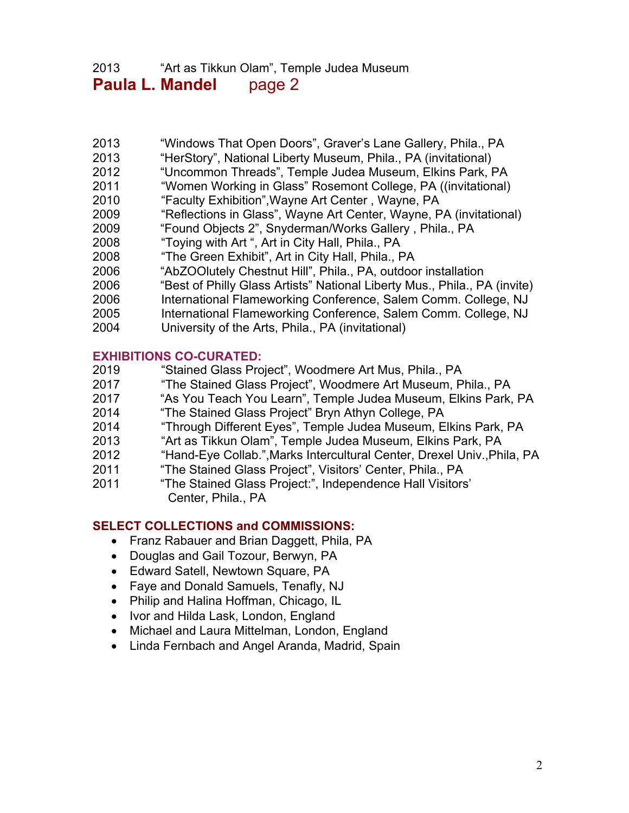# 2013 "Art as Tikkun Olam", Temple Judea Museum **Paula L. Mandel** page 2

- 2013 "Windows That Open Doors", Graver's Lane Gallery, Phila., PA
- 2013 "HerStory", National Liberty Museum, Phila., PA (invitational)
- 2012 "Uncommon Threads", Temple Judea Museum, Elkins Park, PA
- 2011 "Women Working in Glass" Rosemont College, PA ((invitational)
- 2010 "Faculty Exhibition",Wayne Art Center , Wayne, PA
- 2009 "Reflections in Glass", Wayne Art Center, Wayne, PA (invitational)
- 2009 "Found Objects 2", Snyderman/Works Gallery , Phila., PA
- 2008 "Toying with Art ", Art in City Hall, Phila., PA
- 2008 "The Green Exhibit", Art in City Hall, Phila., PA
- 2006 "AbZOOlutely Chestnut Hill", Phila., PA, outdoor installation
- 2006 "Best of Philly Glass Artists" National Liberty Mus., Phila., PA (invite)
- 2006 International Flameworking Conference, Salem Comm. College, NJ
- 2005 International Flameworking Conference, Salem Comm. College, NJ
- 2004 University of the Arts, Phila., PA (invitational)

## **EXHIBITIONS CO-CURATED:**

- 2019 "Stained Glass Project", Woodmere Art Mus, Phila., PA
- 2017 "The Stained Glass Project", Woodmere Art Museum, Phila., PA
- 2017 "As You Teach You Learn", Temple Judea Museum, Elkins Park, PA
- 2014 "The Stained Glass Project" Bryn Athyn College, PA
- 2014 "Through Different Eyes", Temple Judea Museum, Elkins Park, PA
- 2013 "Art as Tikkun Olam", Temple Judea Museum, Elkins Park, PA
- 2012 "Hand-Eye Collab.",Marks Intercultural Center, Drexel Univ.,Phila, PA
- 2011 "The Stained Glass Project", Visitors' Center, Phila., PA
- 2011 "The Stained Glass Project:", Independence Hall Visitors' Center, Phila., PA

## **SELECT COLLECTIONS and COMMISSIONS:**

- Franz Rabauer and Brian Daggett, Phila, PA
- Douglas and Gail Tozour, Berwyn, PA
- Edward Satell, Newtown Square, PA
- Faye and Donald Samuels, Tenafly, NJ
- Philip and Halina Hoffman, Chicago, IL
- Ivor and Hilda Lask, London, England
- Michael and Laura Mittelman, London, England
- Linda Fernbach and Angel Aranda, Madrid, Spain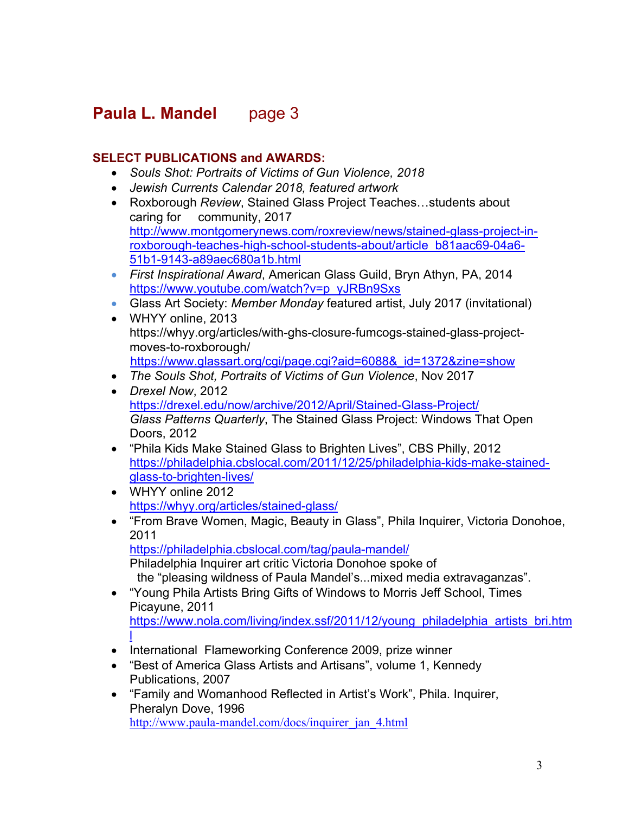# **Paula L. Mandel page 3**

## **SELECT PUBLICATIONS and AWARDS:**

- *Souls Shot: Portraits of Victims of Gun Violence, 2018*
- *Jewish Currents Calendar 2018, featured artwork*
- Roxborough *Review*, Stained Glass Project Teaches…students about caring for community, 2017 http://www.montgomerynews.com/roxreview/news/stained-glass-project-inroxborough-teaches-high-school-students-about/article\_b81aac69-04a6- 51b1-9143-a89aec680a1b.html
- *First Inspirational Award*, American Glass Guild, Bryn Athyn, PA, 2014 https://www.youtube.com/watch?v=p\_yJRBn9Sxs
- Glass Art Society: *Member Monday* featured artist, July 2017 (invitational)
- WHYY online, 2013 https://whyy.org/articles/with-ghs-closure-fumcogs-stained-glass-projectmoves-to-roxborough/ https://www.glassart.org/cgi/page.cgi?aid=6088&\_id=1372&zine=show
- *The Souls Shot, Portraits of Victims of Gun Violence*, Nov 2017
- *Drexel Now*, 2012 https://drexel.edu/now/archive/2012/April/Stained-Glass-Project/ *Glass Patterns Quarterly*, The Stained Glass Project: Windows That Open Doors, 2012
- "Phila Kids Make Stained Glass to Brighten Lives", CBS Philly, 2012 https://philadelphia.cbslocal.com/2011/12/25/philadelphia-kids-make-stainedglass-to-brighten-lives/
- WHYY online 2012 https://whyy.org/articles/stained-glass/
- "From Brave Women, Magic, Beauty in Glass", Phila Inquirer, Victoria Donohoe, 2011 https://philadelphia.cbslocal.com/tag/paula-mandel/

Philadelphia Inquirer art critic Victoria Donohoe spoke of the "pleasing wildness of Paula Mandel's...mixed media extravaganzas".

- "Young Phila Artists Bring Gifts of Windows to Morris Jeff School, Times Picayune, 2011 https://www.nola.com/living/index.ssf/2011/12/young\_philadelphia\_artists\_bri.htm l
- International Flameworking Conference 2009, prize winner
- "Best of America Glass Artists and Artisans", volume 1, Kennedy Publications, 2007
- "Family and Womanhood Reflected in Artist's Work", Phila. Inquirer, Pheralyn Dove, 1996 http://www.paula-mandel.com/docs/inquirer\_jan\_4.html